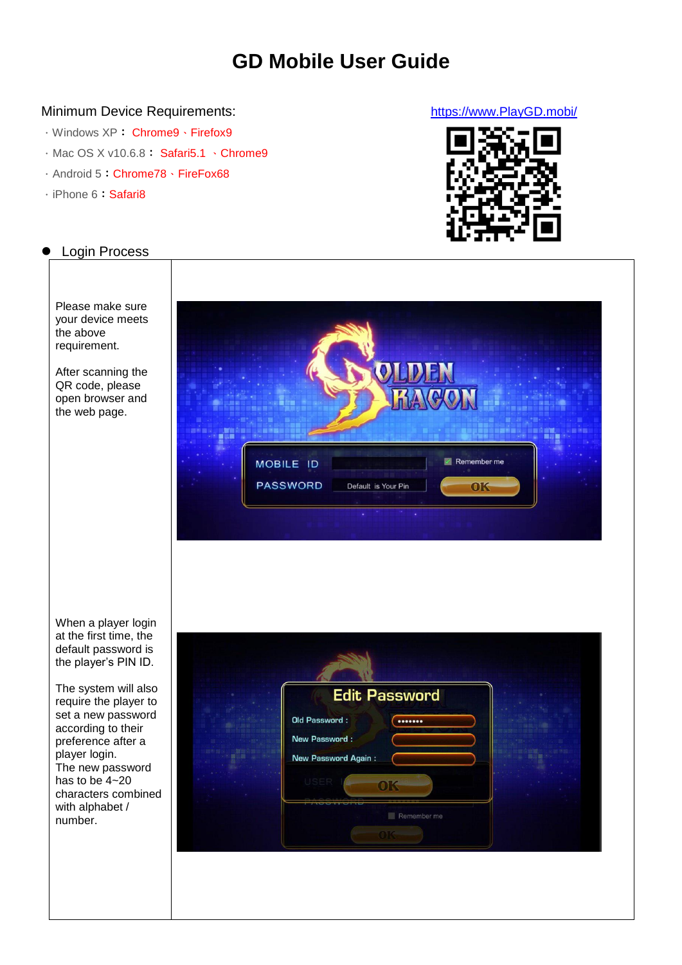# **GD Mobile User Guide**

## Minimum Device Requirements: [https://www.PlayGD.mobi/](https://www.playgd.mobi/)

- .Windows XP: Chrome9、Firefox9
- . Mac OS X v10.6.8: [Safari5.1](http://support.apple.com/kb/HT4808) \ Chrome9
- .Android 5:Chrome78、FireFox68
- . iPhone 6: Safari8



# Login Process

Please make sure your device meets the above requirement.

After scanning the QR code, please open browser and the web page.



When a player login at the first time, the default password is the player's PIN ID.

The system will also require the player to set a new password according to their preference after a player login. The new password has to be  $4 - 20$ characters combined with alphabet / number.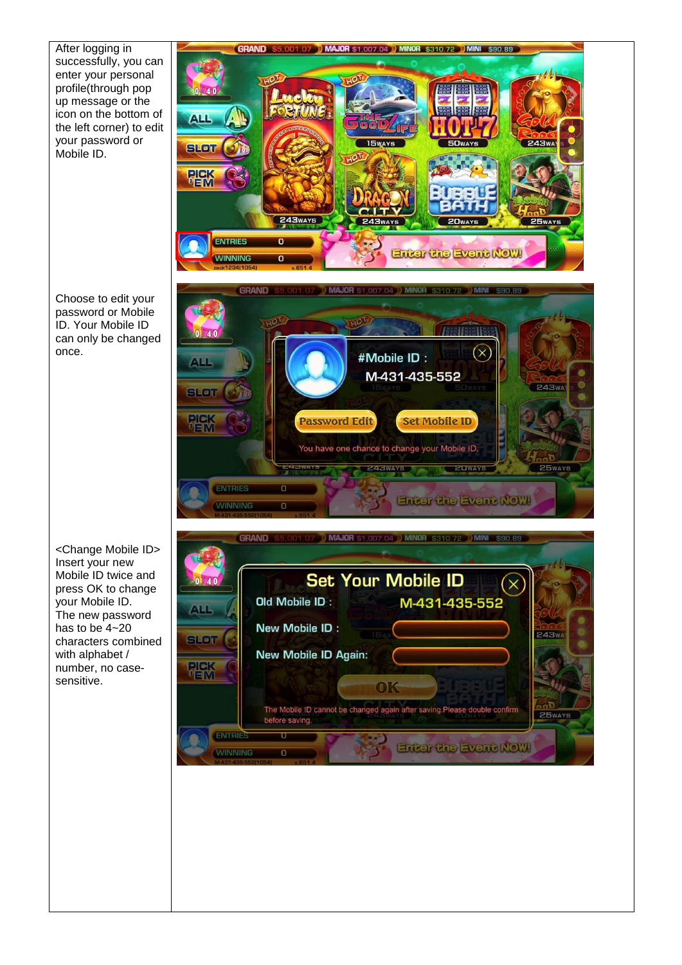After logging in successfully, you can enter your personal profile(through pop up message or the icon on the bottom of the left corner) to edit your password or Mobile ID.

Choose to edit your password or Mobile ID. Your Mobile ID can only be changed once.

<Change Mobile ID> Insert your new Mobile ID twice and press OK to change your Mobile ID. The new password has to be 4~20 characters combined with alphabet / number, no casesensitive.

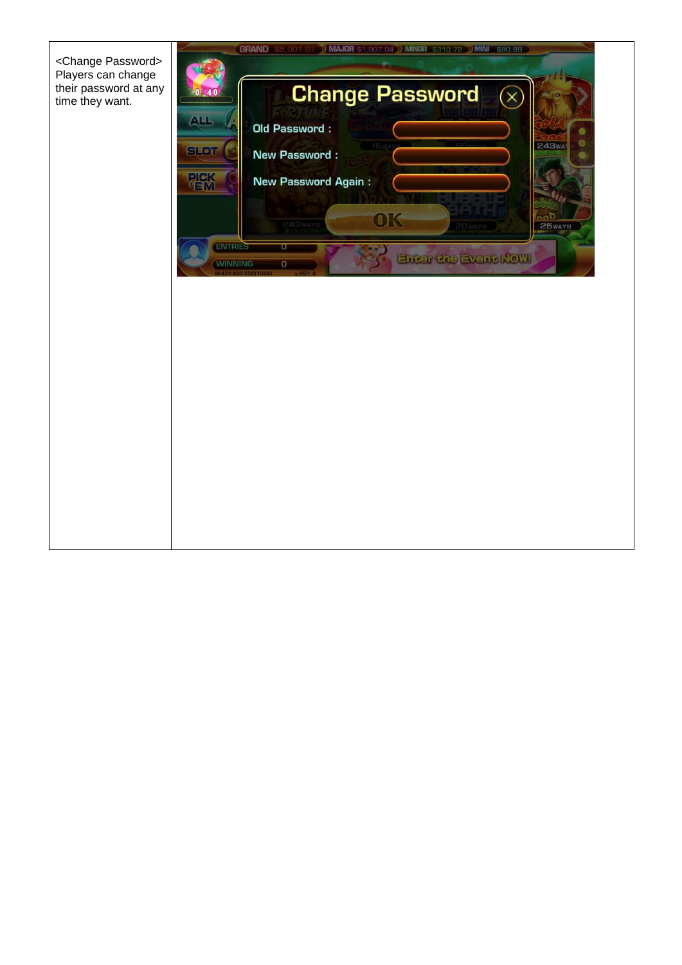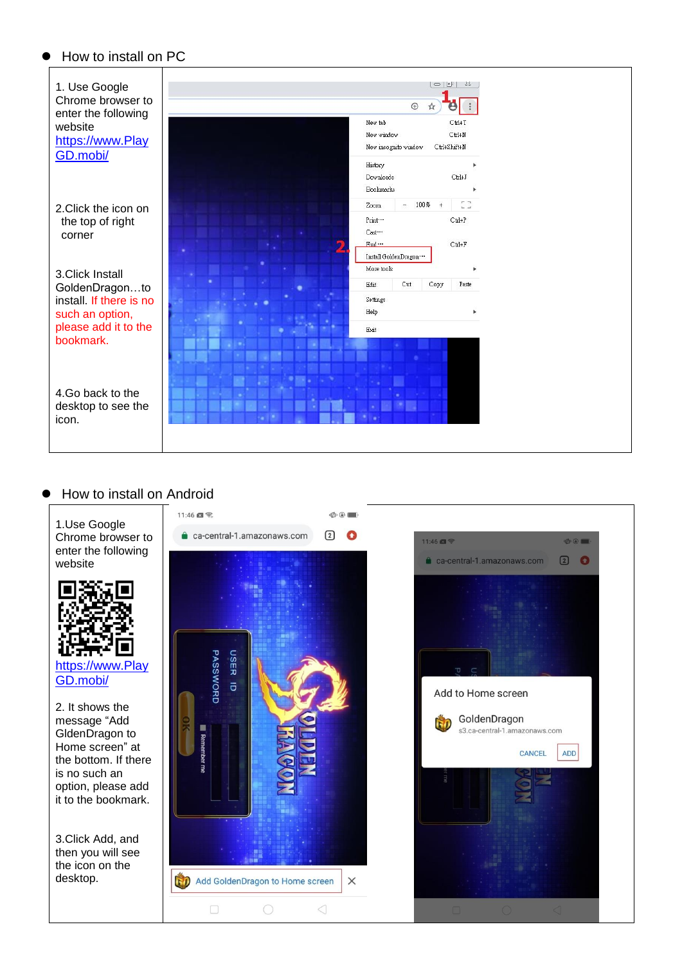

#### How to install on Android